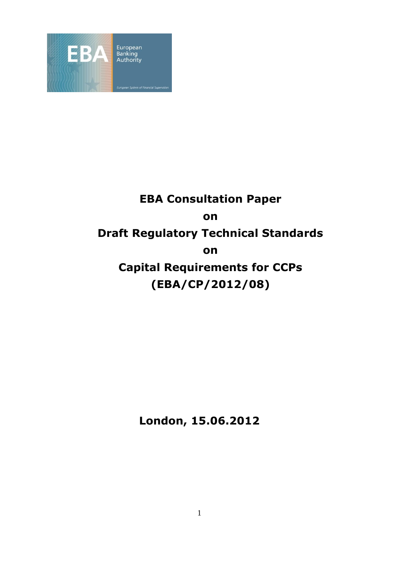

# **EBA Consultation Paper on Draft Regulatory Technical Standards on Capital Requirements for CCPs (EBA/CP/2012/08)**

**London, 15.06.2012**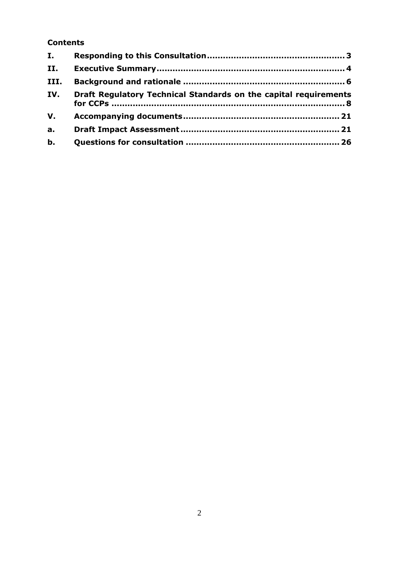### **Contents**

| I.             |                                                                  |
|----------------|------------------------------------------------------------------|
| II.            |                                                                  |
| III.           |                                                                  |
| IV.            | Draft Regulatory Technical Standards on the capital requirements |
| V.             |                                                                  |
| a <sub>r</sub> |                                                                  |
| $b$ .          |                                                                  |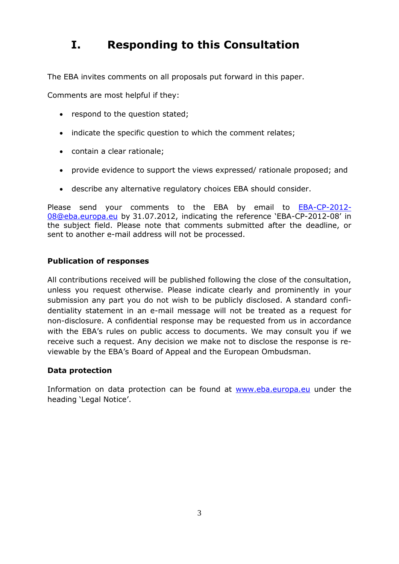## <span id="page-2-0"></span>**I. Responding to this Consultation**

The EBA invites comments on all proposals put forward in this paper.

Comments are most helpful if they:

- respond to the question stated:
- indicate the specific question to which the comment relates;
- contain a clear rationale;
- provide evidence to support the views expressed/ rationale proposed; and
- describe any alternative regulatory choices EBA should consider.

Please send your comments to the EBA by email to [EBA-CP-2012-](mailto:EBA-CP-2012-08@eba.europa.eu) [08@eba.europa.eu](mailto:EBA-CP-2012-08@eba.europa.eu) by 31.07.2012, indicating the reference "EBA-CP-2012-08" in the subject field. Please note that comments submitted after the deadline, or sent to another e-mail address will not be processed.

#### **Publication of responses**

All contributions received will be published following the close of the consultation, unless you request otherwise. Please indicate clearly and prominently in your submission any part you do not wish to be publicly disclosed. A standard confidentiality statement in an e-mail message will not be treated as a request for non-disclosure. A confidential response may be requested from us in accordance with the EBA's rules on public access to documents. We may consult you if we receive such a request. Any decision we make not to disclose the response is reviewable by the EBA"s Board of Appeal and the European Ombudsman.

#### **Data protection**

Information on data protection can be found at [www.eba.europa.eu](http://www.eba.europa.eu/) under the heading 'Legal Notice'.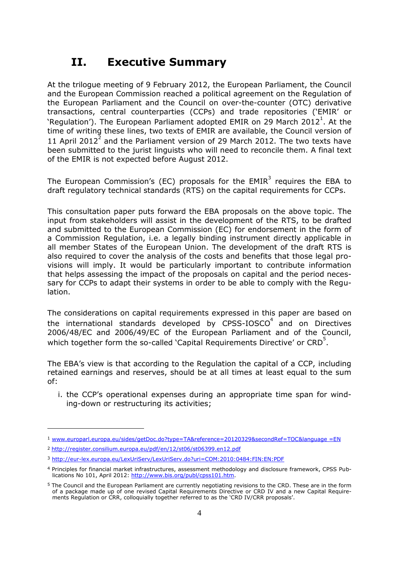## <span id="page-3-0"></span>**II. Executive Summary**

At the trilogue meeting of 9 February 2012, the European Parliament, the Council and the European Commission reached a political agreement on the Regulation of the European Parliament and the Council on over-the-counter (OTC) derivative transactions, central counterparties (CCPs) and trade repositories ("EMIR" or 'Regulation'). The European Parliament adopted EMIR on 29 March 2012<sup>1</sup>. At the time of writing these lines, two texts of EMIR are available, the Council version of 11 April 2012<sup>2</sup> and the Parliament version of 29 March 2012. The two texts have been submitted to the jurist linguists who will need to reconcile them. A final text of the EMIR is not expected before August 2012.

The European Commission's (EC) proposals for the  $EMIR<sup>3</sup>$  requires the EBA to draft regulatory technical standards (RTS) on the capital requirements for CCPs.

This consultation paper puts forward the EBA proposals on the above topic. The input from stakeholders will assist in the development of the RTS, to be drafted and submitted to the European Commission (EC) for endorsement in the form of a Commission Regulation, i.e. a legally binding instrument directly applicable in all member States of the European Union. The development of the draft RTS is also required to cover the analysis of the costs and benefits that those legal provisions will imply. It would be particularly important to contribute information that helps assessing the impact of the proposals on capital and the period necessary for CCPs to adapt their systems in order to be able to comply with the Regulation.

The considerations on capital requirements expressed in this paper are based on the international standards developed by CPSS-IOSCO $4$  and on Directives 2006/48/EC and 2006/49/EC of the European Parliament and of the Council, which together form the so-called `Capital Requirements Directive' or  $CRD<sup>5</sup>$ .

The EBA"s view is that according to the Regulation the capital of a CCP, including retained earnings and reserves, should be at all times at least equal to the sum of:

i. the CCP"s operational expenses during an appropriate time span for winding-down or restructuring its activities;

1

<sup>1</sup> [www.europarl.europa.eu/sides/getDoc.do?type=TA&reference=20120329&secondRef=TOC&language =EN](file:///C:\Users\ivaillant\AppData\Local\Microsoft\Windows\Temporary%20Internet%20Files\Content.Outlook\21NUS88A\www.europarl.europa.eu\sides\getDoc.do%3ftype=TA&reference=20120329&secondRef=TOC&language%20=EN)

<sup>2</sup> <http://register.consilium.europa.eu/pdf/en/12/st06/st06399.en12.pdf>

<sup>3</sup> <http://eur-lex.europa.eu/LexUriServ/LexUriServ.do?uri=COM:2010:0484:FIN:EN:PDF>

<sup>4</sup> Principles for financial market infrastructures, assessment methodology and disclosure framework, CPSS Publications No 101, April 2012: [http://www.bis.org/publ/cpss101.htm.](http://www.bis.org/publ/cpss101.htm)

<sup>5</sup> The Council and the European Parliament are currently negotiating revisions to the CRD. These are in the form of a package made up of one revised Capital Requirements Directive or CRD IV and a new Capital Requirements Regulation or CRR, colloquially together referred to as the "CRD IV/CRR proposals".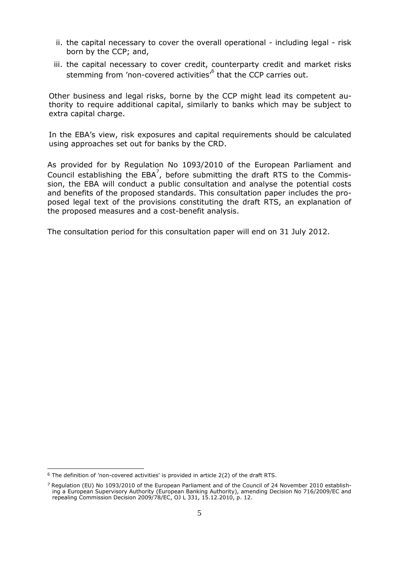- ii. the capital necessary to cover the overall operational including legal risk born by the CCP; and,
- iii. the capital necessary to cover credit, counterparty credit and market risks stemming from 'non-covered activities'<sup>6</sup> that the CCP carries out.

Other business and legal risks, borne by the CCP might lead its competent authority to require additional capital, similarly to banks which may be subject to extra capital charge.

In the EBA"s view, risk exposures and capital requirements should be calculated using approaches set out for banks by the CRD.

As provided for by Regulation No 1093/2010 of the European Parliament and Council establishing the  $EBA^7$ , before submitting the draft RTS to the Commission, the EBA will conduct a public consultation and analyse the potential costs and benefits of the proposed standards. This consultation paper includes the proposed legal text of the provisions constituting the draft RTS, an explanation of the proposed measures and a cost-benefit analysis.

The consultation period for this consultation paper will end on 31 July 2012.

<sup>1</sup>  $6$  The definition of 'non-covered activities' is provided in article 2(2) of the draft RTS.

<sup>7</sup> Regulation (EU) No 1093/2010 of the European Parliament and of the Council of 24 November 2010 establishing a European Supervisory Authority (European Banking Authority), amending Decision No 716/2009/EC and repealing Commission Decision 2009/78/EC, OJ L 331, 15.12.2010, p. 12.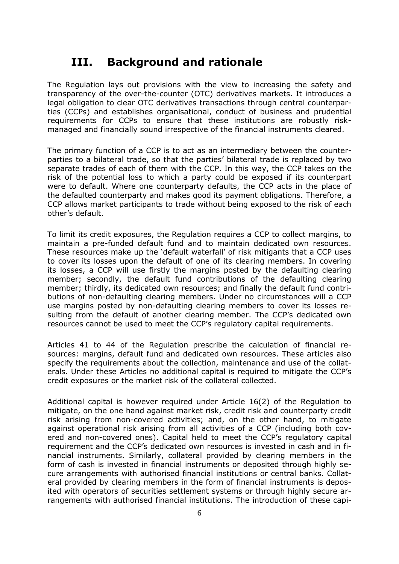## <span id="page-5-0"></span>**III. Background and rationale**

The Regulation lays out provisions with the view to increasing the safety and transparency of the over-the-counter (OTC) derivatives markets. It introduces a legal obligation to clear OTC derivatives transactions through central counterparties (CCPs) and establishes organisational, conduct of business and prudential requirements for CCPs to ensure that these institutions are robustly riskmanaged and financially sound irrespective of the financial instruments cleared.

The primary function of a CCP is to act as an intermediary between the counterparties to a bilateral trade, so that the parties" bilateral trade is replaced by two separate trades of each of them with the CCP. In this way, the CCP takes on the risk of the potential loss to which a party could be exposed if its counterpart were to default. Where one counterparty defaults, the CCP acts in the place of the defaulted counterparty and makes good its payment obligations. Therefore, a CCP allows market participants to trade without being exposed to the risk of each other"s default.

To limit its credit exposures, the Regulation requires a CCP to collect margins, to maintain a pre-funded default fund and to maintain dedicated own resources. These resources make up the "default waterfall" of risk mitigants that a CCP uses to cover its losses upon the default of one of its clearing members. In covering its losses, a CCP will use firstly the margins posted by the defaulting clearing member; secondly, the default fund contributions of the defaulting clearing member; thirdly, its dedicated own resources; and finally the default fund contributions of non-defaulting clearing members. Under no circumstances will a CCP use margins posted by non-defaulting clearing members to cover its losses resulting from the default of another clearing member. The CCP"s dedicated own resources cannot be used to meet the CCP"s regulatory capital requirements.

Articles 41 to 44 of the Regulation prescribe the calculation of financial resources: margins, default fund and dedicated own resources. These articles also specify the requirements about the collection, maintenance and use of the collaterals. Under these Articles no additional capital is required to mitigate the CCP"s credit exposures or the market risk of the collateral collected.

Additional capital is however required under Article 16(2) of the Regulation to mitigate, on the one hand against market risk, credit risk and counterparty credit risk arising from non-covered activities; and, on the other hand, to mitigate against operational risk arising from all activities of a CCP (including both covered and non-covered ones). Capital held to meet the CCP"s regulatory capital requirement and the CCP"s dedicated own resources is invested in cash and in financial instruments. Similarly, collateral provided by clearing members in the form of cash is invested in financial instruments or deposited through highly secure arrangements with authorised financial institutions or central banks. Collateral provided by clearing members in the form of financial instruments is deposited with operators of securities settlement systems or through highly secure arrangements with authorised financial institutions. The introduction of these capi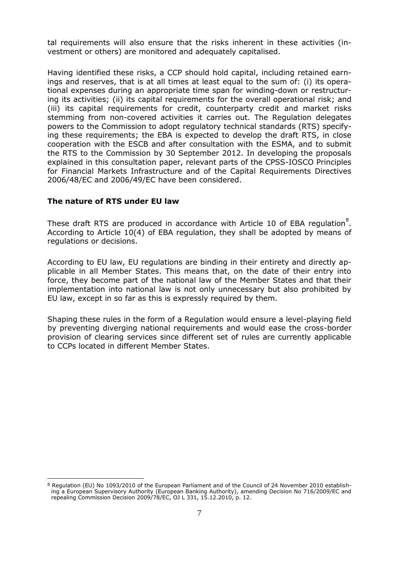tal requirements will also ensure that the risks inherent in these activities (investment or others) are monitored and adequately capitalised.

Having identified these risks, a CCP should hold capital, including retained earnings and reserves, that is at all times at least equal to the sum of: (i) its operational expenses during an appropriate time span for winding-down or restructuring its activities; (ii) its capital requirements for the overall operational risk; and (iii) its capital requirements for credit, counterparty credit and market risks stemming from non-covered activities it carries out. The Regulation delegates powers to the Commission to adopt regulatory technical standards (RTS) specifying these requirements; the EBA is expected to develop the draft RTS, in close cooperation with the ESCB and after consultation with the ESMA, and to submit the RTS to the Commission by 30 September 2012. In developing the proposals explained in this consultation paper, relevant parts of the CPSS-IOSCO Principles for Financial Markets Infrastructure and of the Capital Requirements Directives 2006/48/EC and 2006/49/EC have been considered.

#### **The nature of RTS under EU law**

These draft RTS are produced in accordance with Article 10 of EBA regulation ${}^{8}$ . According to Article 10(4) of EBA regulation, they shall be adopted by means of regulations or decisions.

According to EU law, EU regulations are binding in their entirety and directly applicable in all Member States. This means that, on the date of their entry into force, they become part of the national law of the Member States and that their implementation into national law is not only unnecessary but also prohibited by EU law, except in so far as this is expressly required by them.

Shaping these rules in the form of a Regulation would ensure a level-playing field by preventing diverging national requirements and would ease the cross-border provision of clearing services since different set of rules are currently applicable to CCPs located in different Member States.

<sup>1</sup> 8 Regulation (EU) No 1093/2010 of the European Parliament and of the Council of 24 November 2010 establishing a European Supervisory Authority (European Banking Authority), amending Decision No 716/2009/EC and repealing Commission Decision 2009/78/EC, OJ L 331, 15.12.2010, p. 12.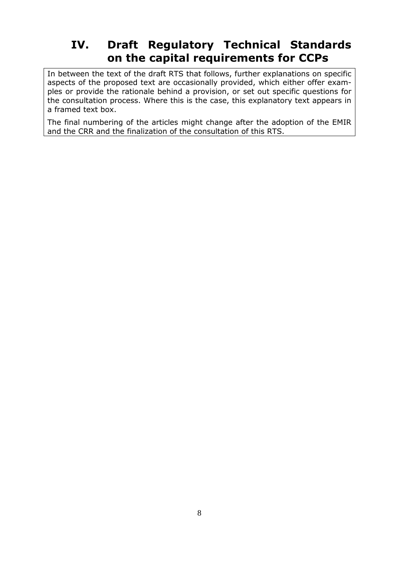## <span id="page-7-0"></span>**IV. Draft Regulatory Technical Standards on the capital requirements for CCPs**

In between the text of the draft RTS that follows, further explanations on specific aspects of the proposed text are occasionally provided, which either offer examples or provide the rationale behind a provision, or set out specific questions for the consultation process. Where this is the case, this explanatory text appears in a framed text box.

The final numbering of the articles might change after the adoption of the EMIR and the CRR and the finalization of the consultation of this RTS.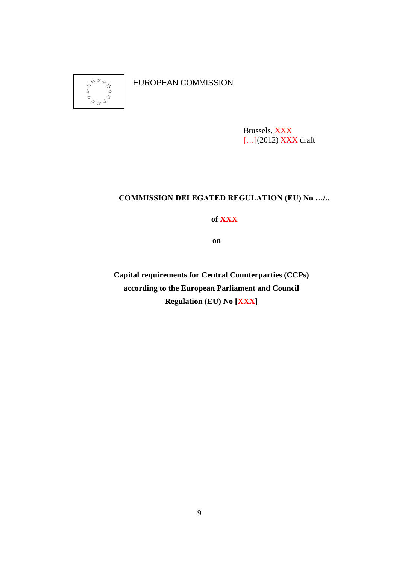

EUROPEAN COMMISSION

Brussels, XXX [...](2012) XXX draft

### **COMMISSION DELEGATED REGULATION (EU) No …/..**

**of XXX**

**on** 

**Capital requirements for Central Counterparties (CCPs) according to the European Parliament and Council Regulation (EU) No [XXX]**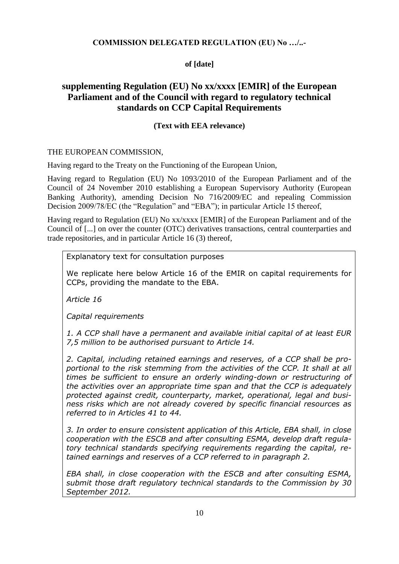#### **COMMISSION DELEGATED REGULATION (EU) No …/..-**

#### **of [date]**

### **supplementing Regulation (EU) No xx/xxxx [EMIR] of the European Parliament and of the Council with regard to regulatory technical standards on CCP Capital Requirements**

#### **(Text with EEA relevance)**

#### THE EUROPEAN COMMISSION,

Having regard to the Treaty on the Functioning of the European Union,

Having regard to Regulation (EU) No 1093/2010 of the European Parliament and of the Council of 24 November 2010 establishing a European Supervisory Authority (European Banking Authority), amending Decision No 716/2009/EC and repealing Commission Decision 2009/78/EC (the "Regulation" and "EBA"); in particular Article 15 thereof,

Having regard to Regulation (EU) No xx/xxxx [EMIR] of the European Parliament and of the Council of [...] on over the counter (OTC) derivatives transactions, central counterparties and trade repositories, and in particular Article 16 (3) thereof,

Explanatory text for consultation purposes

We replicate here below Article 16 of the EMIR on capital requirements for CCPs, providing the mandate to the EBA.

*Article 16* 

*Capital requirements*

*1. A CCP shall have a permanent and available initial capital of at least EUR 7,5 million to be authorised pursuant to Article 14.*

*2. Capital, including retained earnings and reserves, of a CCP shall be pro*portional to the risk stemming from the activities of the CCP. It shall at all *times be sufficient to ensure an orderly winding-down or restructuring of the activities over an appropriate time span and that the CCP is adequately protected against credit, counterparty, market, operational, legal and business risks which are not already covered by specific financial resources as referred to in Articles 41 to 44.*

*3. In order to ensure consistent application of this Article, EBA shall, in close cooperation with the ESCB and after consulting ESMA, develop draft regulatory technical standards specifying requirements regarding the capital, retained earnings and reserves of a CCP referred to in paragraph 2.*

*EBA shall, in close cooperation with the ESCB and after consulting ESMA, submit those draft regulatory technical standards to the Commission by 30 September 2012.*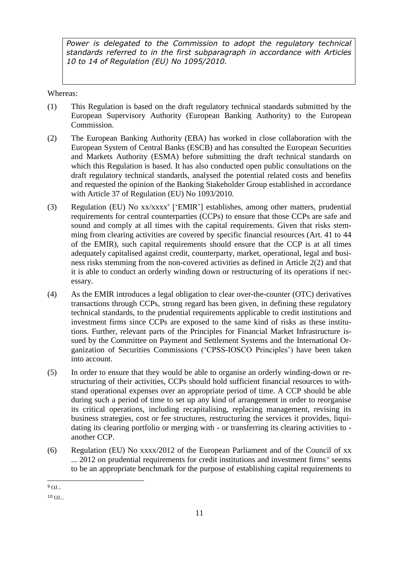Power is delegated to the Commission to adopt the regulatory technical *standards referred to in the first subparagraph in accordance with Articles 10 to 14 of Regulation (EU) No 1095/2010.*

Whereas:

- (1) This Regulation is based on the draft regulatory technical standards submitted by the European Supervisory Authority (European Banking Authority) to the European Commission.
- (2) The European Banking Authority (EBA) has worked in close collaboration with the European System of Central Banks (ESCB) and has consulted the European Securities and Markets Authority (ESMA) before submitting the draft technical standards on which this Regulation is based. It has also conducted open public consultations on the draft regulatory technical standards, analysed the potential related costs and benefits and requested the opinion of the Banking Stakeholder Group established in accordance with Article 37 of Regulation (EU) No 1093/2010.
- (3) Regulation (EU) No xx/xxxx<sup>9</sup> ['EMIR'] establishes, among other matters, prudential requirements for central counterparties (CCPs) to ensure that those CCPs are safe and sound and comply at all times with the capital requirements. Given that risks stemming from clearing activities are covered by specific financial resources (Art. 41 to 44 of the EMIR), such capital requirements should ensure that the CCP is at all times adequately capitalised against credit, counterparty, market, operational, legal and business risks stemming from the non-covered activities as defined in Article 2(2) and that it is able to conduct an orderly winding down or restructuring of its operations if necessary.
- (4) As the EMIR introduces a legal obligation to clear over-the-counter (OTC) derivatives transactions through CCPs, strong regard has been given, in defining these regulatory technical standards, to the prudential requirements applicable to credit institutions and investment firms since CCPs are exposed to the same kind of risks as these institutions. Further, relevant parts of the Principles for Financial Market Infrastructure issued by the Committee on Payment and Settlement Systems and the International Organization of Securities Commissions ("CPSS-IOSCO Principles") have been taken into account.
- (5) In order to ensure that they would be able to organise an orderly winding-down or restructuring of their activities, CCPs should hold sufficient financial resources to withstand operational expenses over an appropriate period of time. A CCP should be able during such a period of time to set up any kind of arrangement in order to reorganise its critical operations, including recapitalising, replacing management, revising its business strategies, cost or fee structures, restructuring the services it provides, liquidating its clearing portfolio or merging with - or transferring its clearing activities to another CCP.
- (6) Regulation (EU) No xxxx/2012 of the European Parliament and of the Council of xx  $\ldots$  2012 on prudential requirements for credit institutions and investment firms<sup>10</sup> seems to be an appropriate benchmark for the purpose of establishing capital requirements to

<sup>1</sup>  $9$  OJ...

 $10 \Omega$ ...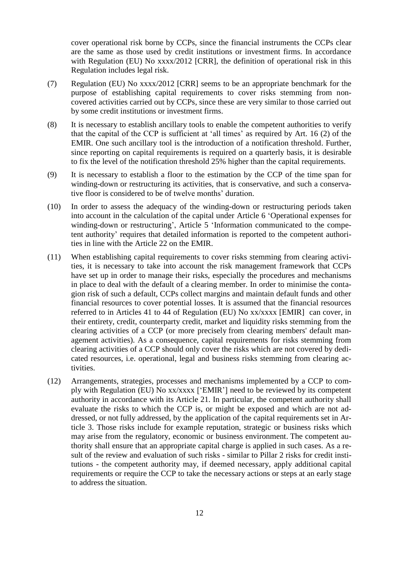cover operational risk borne by CCPs, since the financial instruments the CCPs clear are the same as those used by credit institutions or investment firms. In accordance with Regulation (EU) No xxxx/2012 [CRR], the definition of operational risk in this Regulation includes legal risk.

- (7) Regulation (EU) No xxxx/2012 [CRR] seems to be an appropriate benchmark for the purpose of establishing capital requirements to cover risks stemming from noncovered activities carried out by CCPs, since these are very similar to those carried out by some credit institutions or investment firms.
- (8) It is necessary to establish ancillary tools to enable the competent authorities to verify that the capital of the CCP is sufficient at 'all times' as required by Art. 16 (2) of the EMIR. One such ancillary tool is the introduction of a notification threshold. Further, since reporting on capital requirements is required on a quarterly basis, it is desirable to fix the level of the notification threshold 25% higher than the capital requirements.
- (9) It is necessary to establish a floor to the estimation by the CCP of the time span for winding-down or restructuring its activities, that is conservative, and such a conservative floor is considered to be of twelve months' duration.
- (10) In order to assess the adequacy of the winding-down or restructuring periods taken into account in the calculation of the capital under Article 6 "Operational expenses for winding-down or restructuring', Article 5 'Information communicated to the competent authority" requires that detailed information is reported to the competent authorities in line with the Article 22 on the EMIR.
- (11) When establishing capital requirements to cover risks stemming from clearing activities, it is necessary to take into account the risk management framework that CCPs have set up in order to manage their risks, especially the procedures and mechanisms in place to deal with the default of a clearing member. In order to minimise the contagion risk of such a default, CCPs collect margins and maintain default funds and other financial resources to cover potential losses. It is assumed that the financial resources referred to in Articles 41 to 44 of Regulation (EU) No xx/xxxx [EMIR] can cover, in their entirety, credit, counterparty credit, market and liquidity risks stemming from the clearing activities of a CCP (or more precisely from clearing members' default management activities). As a consequence, capital requirements for risks stemming from clearing activities of a CCP should only cover the risks which are not covered by dedicated resources, i.e. operational, legal and business risks stemming from clearing activities.
- (12) Arrangements, strategies, processes and mechanisms implemented by a CCP to comply with Regulation (EU) No xx/xxxx ["EMIR"] need to be reviewed by its competent authority in accordance with its Article 21. In particular, the competent authority shall evaluate the risks to which the CCP is, or might be exposed and which are not addressed, or not fully addressed, by the application of the capital requirements set in Article 3. Those risks include for example reputation, strategic or business risks which may arise from the regulatory, economic or business environment. The competent authority shall ensure that an appropriate capital charge is applied in such cases. As a result of the review and evaluation of such risks - similar to Pillar 2 risks for credit institutions - the competent authority may, if deemed necessary, apply additional capital requirements or require the CCP to take the necessary actions or steps at an early stage to address the situation.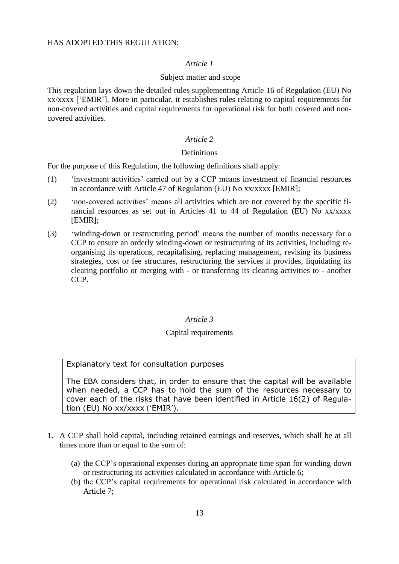#### HAS ADOPTED THIS REGULATION:

#### *Article 1*

#### Subject matter and scope

This regulation lays down the detailed rules supplementing Article 16 of Regulation (EU) No xx/xxxx ["EMIR"]. More in particular, it establishes rules relating to capital requirements for non-covered activities and capital requirements for operational risk for both covered and noncovered activities.

#### *Article 2*

#### **Definitions**

For the purpose of this Regulation, the following definitions shall apply:

- (1) "investment activities" carried out by a CCP means investment of financial resources in accordance with Article 47 of Regulation (EU) No xx/xxxx [EMIR];
- (2) "non-covered activities" means all activities which are not covered by the specific financial resources as set out in Articles 41 to 44 of Regulation (EU) No xx/xxxx [EMIR];
- (3) "winding-down or restructuring period" means the number of months necessary for a CCP to ensure an orderly winding-down or restructuring of its activities, including reorganising its operations, recapitalising, replacing management, revising its business strategies, cost or fee structures, restructuring the services it provides, liquidating its clearing portfolio or merging with - or transferring its clearing activities to - another CCP.

#### *Article 3*

#### Capital requirements

Explanatory text for consultation purposes

The EBA considers that, in order to ensure that the capital will be available when needed, a CCP has to hold the sum of the resources necessary to cover each of the risks that have been identified in Article 16(2) of Regulation (EU) No xx/xxxx ('EMIR').

- 1. A CCP shall hold capital, including retained earnings and reserves, which shall be at all times more than or equal to the sum of:
	- (a) the CCP"s operational expenses during an appropriate time span for winding-down or restructuring its activities calculated in accordance with Article 6;
	- (b) the CCP"s capital requirements for operational risk calculated in accordance with Article 7;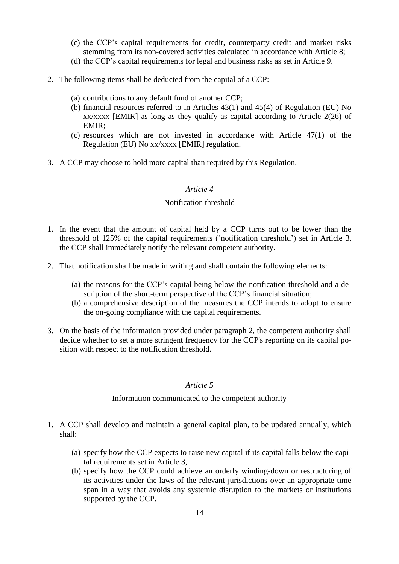- (c) the CCP"s capital requirements for credit, counterparty credit and market risks stemming from its non-covered activities calculated in accordance with Article 8;
- (d) the CCP"s capital requirements for legal and business risks as set in Article 9.
- 2. The following items shall be deducted from the capital of a CCP:
	- (a) contributions to any default fund of another CCP;
	- (b) financial resources referred to in Articles 43(1) and 45(4) of Regulation (EU) No xx/xxxx [EMIR] as long as they qualify as capital according to Article 2(26) of EMIR;
	- (c) resources which are not invested in accordance with Article 47(1) of the Regulation (EU) No xx/xxxx [EMIR] regulation.
- 3. A CCP may choose to hold more capital than required by this Regulation.

#### *Article 4*

#### Notification threshold

- 1. In the event that the amount of capital held by a CCP turns out to be lower than the threshold of 125% of the capital requirements ("notification threshold") set in Article 3, the CCP shall immediately notify the relevant competent authority.
- 2. That notification shall be made in writing and shall contain the following elements:
	- (a) the reasons for the CCP"s capital being below the notification threshold and a description of the short-term perspective of the CCP's financial situation;
	- (b) a comprehensive description of the measures the CCP intends to adopt to ensure the on-going compliance with the capital requirements.
- 3. On the basis of the information provided under paragraph 2, the competent authority shall decide whether to set a more stringent frequency for the CCP's reporting on its capital position with respect to the notification threshold.

#### *Article 5*

#### Information communicated to the competent authority

- 1. A CCP shall develop and maintain a general capital plan, to be updated annually, which shall:
	- (a) specify how the CCP expects to raise new capital if its capital falls below the capital requirements set in Article 3,
	- (b) specify how the CCP could achieve an orderly winding-down or restructuring of its activities under the laws of the relevant jurisdictions over an appropriate time span in a way that avoids any systemic disruption to the markets or institutions supported by the CCP.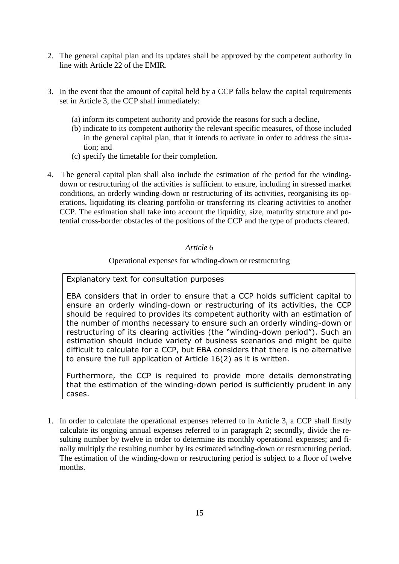- 2. The general capital plan and its updates shall be approved by the competent authority in line with Article 22 of the EMIR.
- 3. In the event that the amount of capital held by a CCP falls below the capital requirements set in Article 3, the CCP shall immediately:
	- (a) inform its competent authority and provide the reasons for such a decline,
	- (b) indicate to its competent authority the relevant specific measures, of those included in the general capital plan, that it intends to activate in order to address the situation; and
	- (c) specify the timetable for their completion.
- 4. The general capital plan shall also include the estimation of the period for the windingdown or restructuring of the activities is sufficient to ensure, including in stressed market conditions, an orderly winding-down or restructuring of its activities, reorganising its operations, liquidating its clearing portfolio or transferring its clearing activities to another CCP. The estimation shall take into account the liquidity, size, maturity structure and potential cross-border obstacles of the positions of the CCP and the type of products cleared.

#### *Article 6*

#### Operational expenses for winding-down or restructuring

#### Explanatory text for consultation purposes

EBA considers that in order to ensure that a CCP holds sufficient capital to ensure an orderly winding-down or restructuring of its activities, the CCP should be required to provides its competent authority with an estimation of the number of months necessary to ensure such an orderly winding-down or restructuring of its clearing activities (the "winding-down period"). Such an estimation should include variety of business scenarios and might be quite difficult to calculate for a CCP, but EBA considers that there is no alternative to ensure the full application of Article 16(2) as it is written.

Furthermore, the CCP is required to provide more details demonstrating that the estimation of the winding-down period is sufficiently prudent in any cases.

1. In order to calculate the operational expenses referred to in Article 3, a CCP shall firstly calculate its ongoing annual expenses referred to in paragraph 2; secondly, divide the resulting number by twelve in order to determine its monthly operational expenses; and finally multiply the resulting number by its estimated winding-down or restructuring period. The estimation of the winding-down or restructuring period is subject to a floor of twelve months.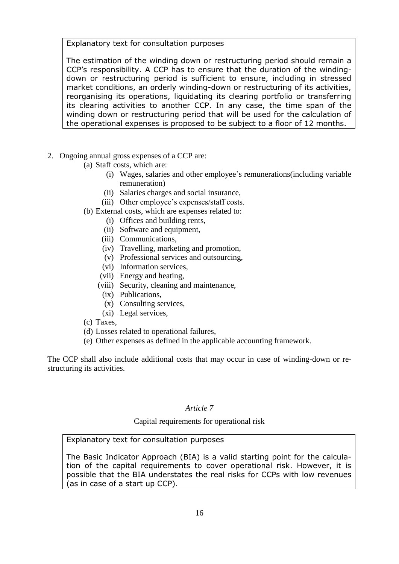Explanatory text for consultation purposes

The estimation of the winding down or restructuring period should remain a CCP"s responsibility. A CCP has to ensure that the duration of the windingdown or restructuring period is sufficient to ensure, including in stressed market conditions, an orderly winding-down or restructuring of its activities, reorganising its operations, liquidating its clearing portfolio or transferring its clearing activities to another CCP. In any case, the time span of the winding down or restructuring period that will be used for the calculation of the operational expenses is proposed to be subject to a floor of 12 months.

- 2. Ongoing annual gross expenses of a CCP are:
	- (a) Staff costs, which are:
		- (i) Wages, salaries and other employee"s remunerations(including variable remuneration)
		- (ii) Salaries charges and social insurance,
		- (iii) Other employee's expenses/staff costs.
	- (b) External costs, which are expenses related to:
		- (i) Offices and building rents,
		- (ii) Software and equipment,
		- (iii) Communications,
		- (iv) Travelling, marketing and promotion,
		- (v) Professional services and outsourcing,
		- (vi) Information services,
		- (vii) Energy and heating,
		- (viii) Security, cleaning and maintenance,
			- (ix) Publications,
			- (x) Consulting services,
			- (xi) Legal services,
	- (c) Taxes,
	- (d) Losses related to operational failures,
	- (e) Other expenses as defined in the applicable accounting framework.

The CCP shall also include additional costs that may occur in case of winding-down or restructuring its activities.

#### *Article 7*

#### Capital requirements for operational risk

#### Explanatory text for consultation purposes

The Basic Indicator Approach (BIA) is a valid starting point for the calculation of the capital requirements to cover operational risk. However, it is possible that the BIA understates the real risks for CCPs with low revenues (as in case of a start up CCP).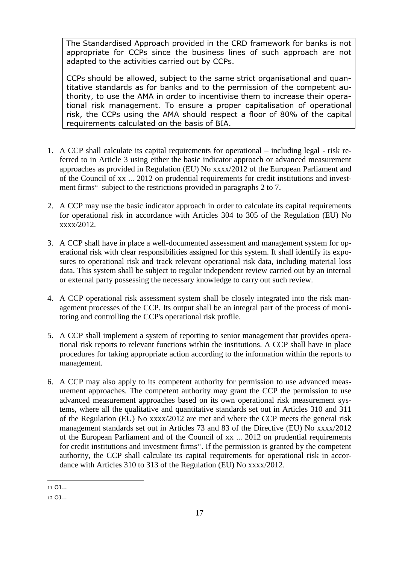The Standardised Approach provided in the CRD framework for banks is not appropriate for CCPs since the business lines of such approach are not adapted to the activities carried out by CCPs.

CCPs should be allowed, subject to the same strict organisational and quantitative standards as for banks and to the permission of the competent authority, to use the AMA in order to incentivise them to increase their operational risk management. To ensure a proper capitalisation of operational risk, the CCPs using the AMA should respect a floor of 80% of the capital requirements calculated on the basis of BIA.

- 1. A CCP shall calculate its capital requirements for operational including legal risk referred to in Article 3 using either the basic indicator approach or advanced measurement approaches as provided in Regulation (EU) No xxxx/2012 of the European Parliament and of the Council of xx ... 2012 on prudential requirements for credit institutions and investment firms<sup>11</sup> subject to the restrictions provided in paragraphs 2 to 7.
- 2. A CCP may use the basic indicator approach in order to calculate its capital requirements for operational risk in accordance with Articles 304 to 305 of the Regulation (EU) No xxxx/2012.
- 3. A CCP shall have in place a well-documented assessment and management system for operational risk with clear responsibilities assigned for this system. It shall identify its exposures to operational risk and track relevant operational risk data, including material loss data. This system shall be subject to regular independent review carried out by an internal or external party possessing the necessary knowledge to carry out such review.
- 4. A CCP operational risk assessment system shall be closely integrated into the risk management processes of the CCP. Its output shall be an integral part of the process of monitoring and controlling the CCP's operational risk profile.
- 5. A CCP shall implement a system of reporting to senior management that provides operational risk reports to relevant functions within the institutions. A CCP shall have in place procedures for taking appropriate action according to the information within the reports to management.
- 6. A CCP may also apply to its competent authority for permission to use advanced measurement approaches. The competent authority may grant the CCP the permission to use advanced measurement approaches based on its own operational risk measurement systems, where all the qualitative and quantitative standards set out in Articles 310 and 311 of the Regulation (EU) No xxxx/2012 are met and where the CCP meets the general risk management standards set out in Articles 73 and 83 of the Directive (EU) No xxxx/2012 of the European Parliament and of the Council of xx ... 2012 on prudential requirements for credit institutions and investment firms<sup>12</sup>. If the permission is granted by the competent authority, the CCP shall calculate its capital requirements for operational risk in accordance with Articles 310 to 313 of the Regulation (EU) No xxxx/2012.

<sup>1</sup> 11 OJ...

<sup>12</sup> OJ...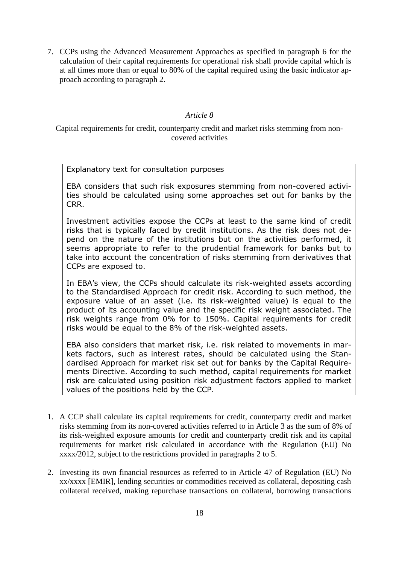7. CCPs using the Advanced Measurement Approaches as specified in paragraph 6 for the calculation of their capital requirements for operational risk shall provide capital which is at all times more than or equal to 80% of the capital required using the basic indicator approach according to paragraph 2.

#### *Article 8*

Capital requirements for credit, counterparty credit and market risks stemming from noncovered activities

Explanatory text for consultation purposes

EBA considers that such risk exposures stemming from non-covered activities should be calculated using some approaches set out for banks by the CRR.

Investment activities expose the CCPs at least to the same kind of credit risks that is typically faced by credit institutions. As the risk does not depend on the nature of the institutions but on the activities performed, it seems appropriate to refer to the prudential framework for banks but to take into account the concentration of risks stemming from derivatives that CCPs are exposed to.

In EBA"s view, the CCPs should calculate its risk-weighted assets according to the Standardised Approach for credit risk. According to such method, the exposure value of an asset (i.e. its risk-weighted value) is equal to the product of its accounting value and the specific risk weight associated. The risk weights range from 0% for to 150%. Capital requirements for credit risks would be equal to the 8% of the risk-weighted assets.

EBA also considers that market risk, i.e. risk related to movements in markets factors, such as interest rates, should be calculated using the Standardised Approach for market risk set out for banks by the Capital Requirements Directive. According to such method, capital requirements for market risk are calculated using position risk adjustment factors applied to market values of the positions held by the CCP.

- 1. A CCP shall calculate its capital requirements for credit, counterparty credit and market risks stemming from its non-covered activities referred to in Article 3 as the sum of 8% of its risk-weighted exposure amounts for credit and counterparty credit risk and its capital requirements for market risk calculated in accordance with the Regulation (EU) No xxxx/2012, subject to the restrictions provided in paragraphs 2 to 5.
- 2. Investing its own financial resources as referred to in Article 47 of Regulation (EU) No xx/xxxx [EMIR], lending securities or commodities received as collateral, depositing cash collateral received, making repurchase transactions on collateral, borrowing transactions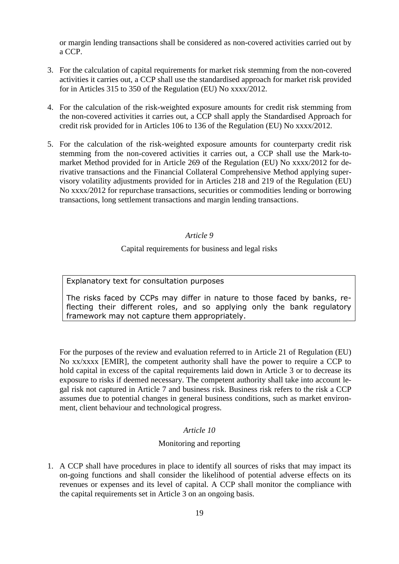or margin lending transactions shall be considered as non-covered activities carried out by a CCP.

- 3. For the calculation of capital requirements for market risk stemming from the non-covered activities it carries out, a CCP shall use the standardised approach for market risk provided for in Articles 315 to 350 of the Regulation (EU) No xxxx/2012.
- 4. For the calculation of the risk-weighted exposure amounts for credit risk stemming from the non-covered activities it carries out, a CCP shall apply the Standardised Approach for credit risk provided for in Articles 106 to 136 of the Regulation (EU) No xxxx/2012.
- 5. For the calculation of the risk-weighted exposure amounts for counterparty credit risk stemming from the non-covered activities it carries out, a CCP shall use the Mark-tomarket Method provided for in Article 269 of the Regulation (EU) No xxxx/2012 for derivative transactions and the Financial Collateral Comprehensive Method applying supervisory volatility adjustments provided for in Articles 218 and 219 of the Regulation (EU) No xxxx/2012 for repurchase transactions, securities or commodities lending or borrowing transactions, long settlement transactions and margin lending transactions.

#### *Article 9*

#### Capital requirements for business and legal risks

Explanatory text for consultation purposes

The risks faced by CCPs may differ in nature to those faced by banks, reflecting their different roles, and so applying only the bank regulatory framework may not capture them appropriately.

For the purposes of the review and evaluation referred to in Article 21 of Regulation (EU) No xx/xxxx [EMIR], the competent authority shall have the power to require a CCP to hold capital in excess of the capital requirements laid down in Article 3 or to decrease its exposure to risks if deemed necessary. The competent authority shall take into account legal risk not captured in Article 7 and business risk. Business risk refers to the risk a CCP assumes due to potential changes in general business conditions, such as market environment, client behaviour and technological progress.

#### *Article 10*

#### Monitoring and reporting

1. A CCP shall have procedures in place to identify all sources of risks that may impact its on-going functions and shall consider the likelihood of potential adverse effects on its revenues or expenses and its level of capital. A CCP shall monitor the compliance with the capital requirements set in Article 3 on an ongoing basis.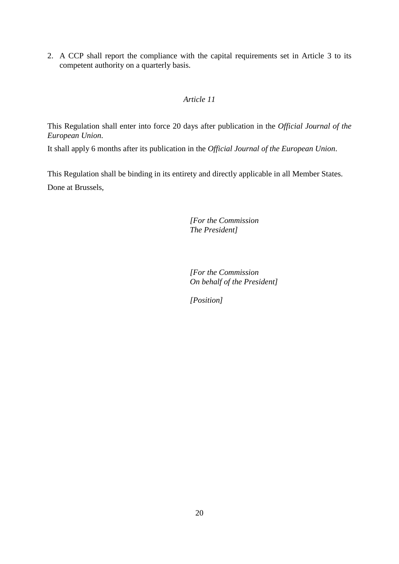2. A CCP shall report the compliance with the capital requirements set in Article 3 to its competent authority on a quarterly basis.

#### *Article 11*

This Regulation shall enter into force 20 days after publication in the *Official Journal of the European Union*.

It shall apply 6 months after its publication in the *Official Journal of the European Union*.

This Regulation shall be binding in its entirety and directly applicable in all Member States. Done at Brussels,

> *[For the Commission The President]*

*[For the Commission On behalf of the President]*

*[Position]*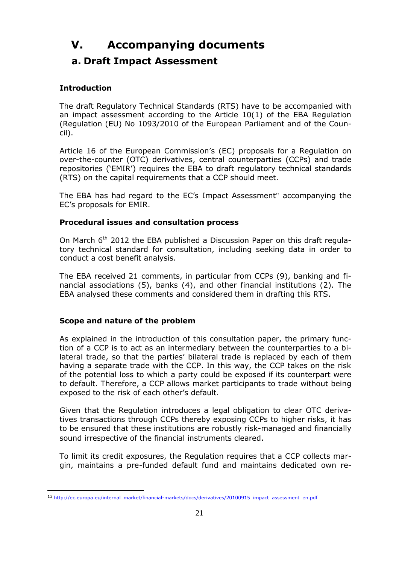## <span id="page-20-0"></span>**V. Accompanying documents**

### <span id="page-20-1"></span>**a. Draft Impact Assessment**

### **Introduction**

The draft Regulatory Technical Standards (RTS) have to be accompanied with an impact assessment according to the Article 10(1) of the EBA Regulation (Regulation (EU) No 1093/2010 of the European Parliament and of the Council).

Article 16 of the European Commission's (EC) proposals for a Regulation on over-the-counter (OTC) derivatives, central counterparties (CCPs) and trade repositories ("EMIR") requires the EBA to draft regulatory technical standards (RTS) on the capital requirements that a CCP should meet.

The EBA has had regard to the  $EC's$  Impact Assessment<sup>13</sup> accompanying the EC"s proposals for EMIR.

#### **Procedural issues and consultation process**

On March  $6<sup>th</sup>$  2012 the EBA published a Discussion Paper on this draft regulatory technical standard for consultation, including seeking data in order to conduct a cost benefit analysis.

The EBA received 21 comments, in particular from CCPs (9), banking and financial associations (5), banks (4), and other financial institutions (2). The EBA analysed these comments and considered them in drafting this RTS.

#### **Scope and nature of the problem**

As explained in the introduction of this consultation paper, the primary function of a CCP is to act as an intermediary between the counterparties to a bilateral trade, so that the parties' bilateral trade is replaced by each of them having a separate trade with the CCP. In this way, the CCP takes on the risk of the potential loss to which a party could be exposed if its counterpart were to default. Therefore, a CCP allows market participants to trade without being exposed to the risk of each other's default.

Given that the Regulation introduces a legal obligation to clear OTC derivatives transactions through CCPs thereby exposing CCPs to higher risks, it has to be ensured that these institutions are robustly risk-managed and financially sound irrespective of the financial instruments cleared.

To limit its credit exposures, the Regulation requires that a CCP collects margin, maintains a pre-funded default fund and maintains dedicated own re-

<sup>1</sup> 13 [http://ec.europa.eu/internal\\_market/financial-markets/docs/derivatives/20100915\\_impact\\_assessment\\_en.pdf](http://ec.europa.eu/internal_market/financial-markets/docs/derivatives/20100915_impact_assessment_en.pdf)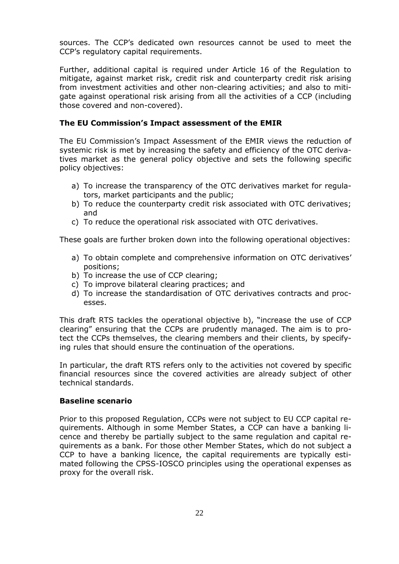sources. The CCP"s dedicated own resources cannot be used to meet the CCP"s regulatory capital requirements.

Further, additional capital is required under Article 16 of the Regulation to mitigate, against market risk, credit risk and counterparty credit risk arising from investment activities and other non-clearing activities; and also to mitigate against operational risk arising from all the activities of a CCP (including those covered and non-covered).

#### **The EU Commission's Impact assessment of the EMIR**

The EU Commission"s Impact Assessment of the EMIR views the reduction of systemic risk is met by increasing the safety and efficiency of the OTC derivatives market as the general policy objective and sets the following specific policy objectives:

- a) To increase the transparency of the OTC derivatives market for regulators, market participants and the public;
- b) To reduce the counterparty credit risk associated with OTC derivatives; and
- c) To reduce the operational risk associated with OTC derivatives.

These goals are further broken down into the following operational objectives:

- a) To obtain complete and comprehensive information on OTC derivatives' positions;
- b) To increase the use of CCP clearing;
- c) To improve bilateral clearing practices; and
- d) To increase the standardisation of OTC derivatives contracts and processes.

This draft RTS tackles the operational objective b), "increase the use of CCP clearing" ensuring that the CCPs are prudently managed. The aim is to protect the CCPs themselves, the clearing members and their clients, by specifying rules that should ensure the continuation of the operations.

In particular, the draft RTS refers only to the activities not covered by specific financial resources since the covered activities are already subject of other technical standards.

#### **Baseline scenario**

Prior to this proposed Regulation, CCPs were not subject to EU CCP capital requirements. Although in some Member States, a CCP can have a banking licence and thereby be partially subject to the same regulation and capital requirements as a bank. For those other Member States, which do not subject a CCP to have a banking licence, the capital requirements are typically estimated following the CPSS-IOSCO principles using the operational expenses as proxy for the overall risk.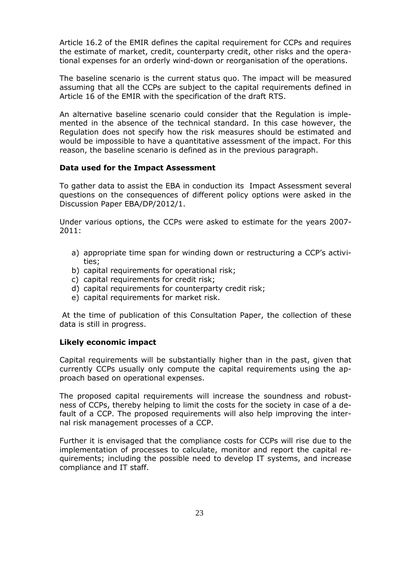Article 16.2 of the EMIR defines the capital requirement for CCPs and requires the estimate of market, credit, counterparty credit, other risks and the operational expenses for an orderly wind-down or reorganisation of the operations.

The baseline scenario is the current status quo. The impact will be measured assuming that all the CCPs are subject to the capital requirements defined in Article 16 of the EMIR with the specification of the draft RTS.

An alternative baseline scenario could consider that the Regulation is implemented in the absence of the technical standard. In this case however, the Regulation does not specify how the risk measures should be estimated and would be impossible to have a quantitative assessment of the impact. For this reason, the baseline scenario is defined as in the previous paragraph.

#### **Data used for the Impact Assessment**

To gather data to assist the EBA in conduction its Impact Assessment several questions on the consequences of different policy options were asked in the Discussion Paper EBA/DP/2012/1.

Under various options, the CCPs were asked to estimate for the years 2007- 2011:

- a) appropriate time span for winding down or restructuring a CCP's activities;
- b) capital requirements for operational risk;
- c) capital requirements for credit risk;
- d) capital requirements for counterparty credit risk;
- e) capital requirements for market risk.

At the time of publication of this Consultation Paper, the collection of these data is still in progress.

#### **Likely economic impact**

Capital requirements will be substantially higher than in the past, given that currently CCPs usually only compute the capital requirements using the approach based on operational expenses.

The proposed capital requirements will increase the soundness and robustness of CCPs, thereby helping to limit the costs for the society in case of a default of a CCP. The proposed requirements will also help improving the internal risk management processes of a CCP.

Further it is envisaged that the compliance costs for CCPs will rise due to the implementation of processes to calculate, monitor and report the capital requirements; including the possible need to develop IT systems, and increase compliance and IT staff.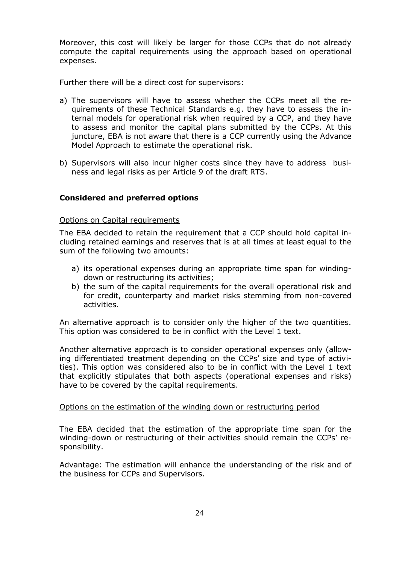Moreover, this cost will likely be larger for those CCPs that do not already compute the capital requirements using the approach based on operational expenses.

Further there will be a direct cost for supervisors:

- a) The supervisors will have to assess whether the CCPs meet all the requirements of these Technical Standards e.g. they have to assess the internal models for operational risk when required by a CCP, and they have to assess and monitor the capital plans submitted by the CCPs. At this juncture, EBA is not aware that there is a CCP currently using the Advance Model Approach to estimate the operational risk.
- b) Supervisors will also incur higher costs since they have to address business and legal risks as per Article 9 of the draft RTS.

#### **Considered and preferred options**

#### Options on Capital requirements

The EBA decided to retain the requirement that a CCP should hold capital including retained earnings and reserves that is at all times at least equal to the sum of the following two amounts:

- a) its operational expenses during an appropriate time span for windingdown or restructuring its activities;
- b) the sum of the capital requirements for the overall operational risk and for credit, counterparty and market risks stemming from non-covered activities.

An alternative approach is to consider only the higher of the two quantities. This option was considered to be in conflict with the Level 1 text.

Another alternative approach is to consider operational expenses only (allowing differentiated treatment depending on the CCPs" size and type of activities). This option was considered also to be in conflict with the Level 1 text that explicitly stipulates that both aspects (operational expenses and risks) have to be covered by the capital requirements.

#### Options on the estimation of the winding down or restructuring period

The EBA decided that the estimation of the appropriate time span for the winding-down or restructuring of their activities should remain the CCPs' responsibility.

Advantage: The estimation will enhance the understanding of the risk and of the business for CCPs and Supervisors.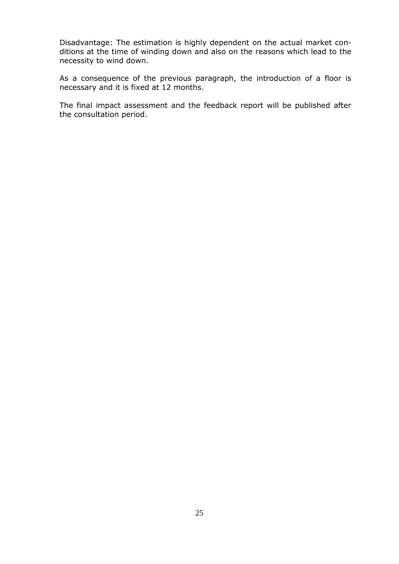Disadvantage: The estimation is highly dependent on the actual market conditions at the time of winding down and also on the reasons which lead to the necessity to wind down.

As a consequence of the previous paragraph, the introduction of a floor is necessary and it is fixed at 12 months.

The final impact assessment and the feedback report will be published after the consultation period.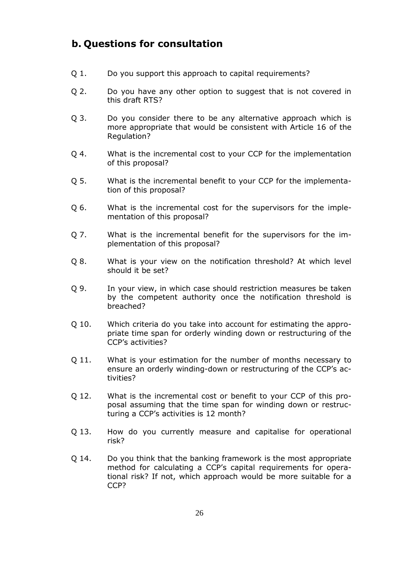### <span id="page-25-0"></span>**b. Questions for consultation**

- Q 1. Do you support this approach to capital requirements?
- Q 2. Do you have any other option to suggest that is not covered in this draft RTS?
- Q 3. Do you consider there to be any alternative approach which is more appropriate that would be consistent with Article 16 of the Regulation?
- Q 4. What is the incremental cost to your CCP for the implementation of this proposal?
- Q 5. What is the incremental benefit to your CCP for the implementation of this proposal?
- Q 6. What is the incremental cost for the supervisors for the implementation of this proposal?
- Q 7. What is the incremental benefit for the supervisors for the implementation of this proposal?
- Q 8. What is your view on the notification threshold? At which level should it be set?
- Q 9. In your view, in which case should restriction measures be taken by the competent authority once the notification threshold is breached?
- Q 10. Which criteria do you take into account for estimating the appropriate time span for orderly winding down or restructuring of the CCP"s activities?
- Q 11. What is your estimation for the number of months necessary to ensure an orderly winding-down or restructuring of the CCP"s activities?
- Q 12. What is the incremental cost or benefit to your CCP of this proposal assuming that the time span for winding down or restructuring a CCP's activities is 12 month?
- Q 13. How do you currently measure and capitalise for operational risk?
- Q 14. Do you think that the banking framework is the most appropriate method for calculating a CCP"s capital requirements for operational risk? If not, which approach would be more suitable for a CCP?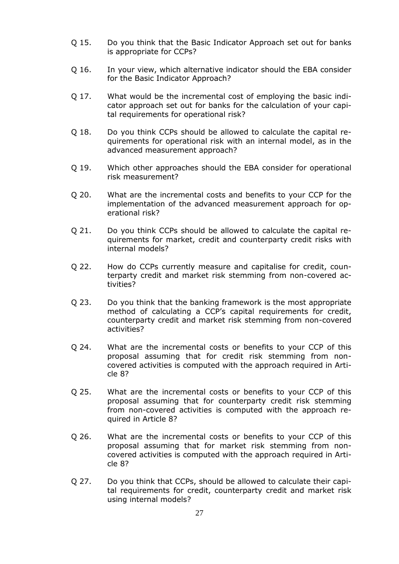- Q 15. Do you think that the Basic Indicator Approach set out for banks is appropriate for CCPs?
- Q 16. In your view, which alternative indicator should the EBA consider for the Basic Indicator Approach?
- Q 17. What would be the incremental cost of employing the basic indicator approach set out for banks for the calculation of your capital requirements for operational risk?
- Q 18. Do you think CCPs should be allowed to calculate the capital requirements for operational risk with an internal model, as in the advanced measurement approach?
- Q 19. Which other approaches should the EBA consider for operational risk measurement?
- Q 20. What are the incremental costs and benefits to your CCP for the implementation of the advanced measurement approach for operational risk?
- Q 21. Do you think CCPs should be allowed to calculate the capital requirements for market, credit and counterparty credit risks with internal models?
- Q 22. How do CCPs currently measure and capitalise for credit, counterparty credit and market risk stemming from non-covered activities?
- Q 23. Do you think that the banking framework is the most appropriate method of calculating a CCP"s capital requirements for credit, counterparty credit and market risk stemming from non-covered activities?
- Q 24. What are the incremental costs or benefits to your CCP of this proposal assuming that for credit risk stemming from noncovered activities is computed with the approach required in Article 8?
- Q 25. What are the incremental costs or benefits to your CCP of this proposal assuming that for counterparty credit risk stemming from non-covered activities is computed with the approach required in Article 8?
- Q 26. What are the incremental costs or benefits to your CCP of this proposal assuming that for market risk stemming from noncovered activities is computed with the approach required in Article 8?
- Q 27. Do you think that CCPs, should be allowed to calculate their capital requirements for credit, counterparty credit and market risk using internal models?